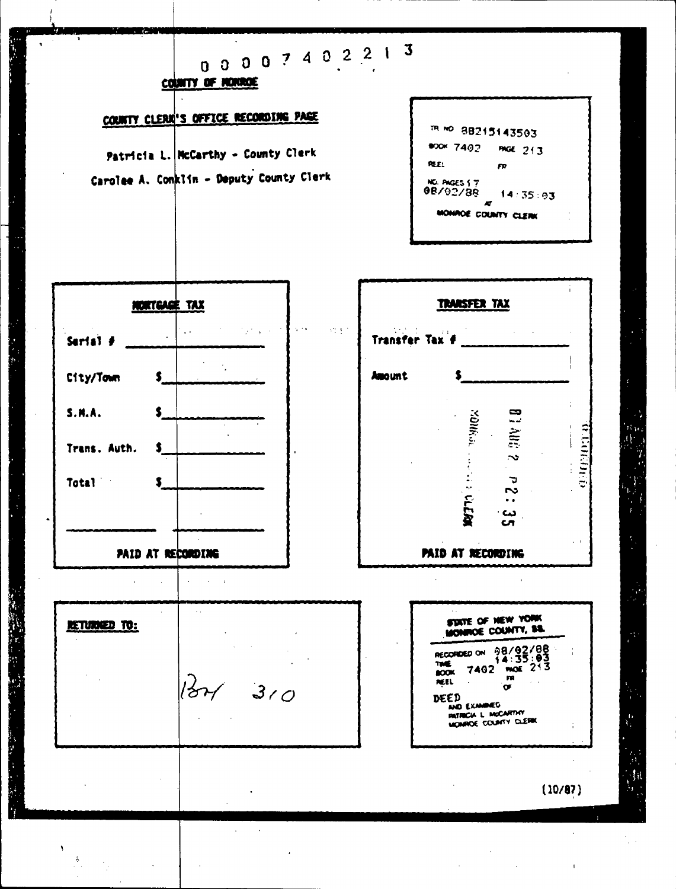# 00007402213

COUNTY OF HONDOE

## COUNTY CLERK'S OFFICE RECORDING PACE

Patricia L. NcCarthy - County Clerk Carolee A. Conklin - Deputy County Clerk

| TR. NO. 88215143503            |                 |
|--------------------------------|-----------------|
| <b>BOOK 7402</b>               | <b>PAGE 213</b> |
| REE:                           | FR              |
| NO. PAGES 1 7<br>08/02/88<br>m | 14:35:93        |
| MONROE COUNTY CLERK<br>٠       |                 |

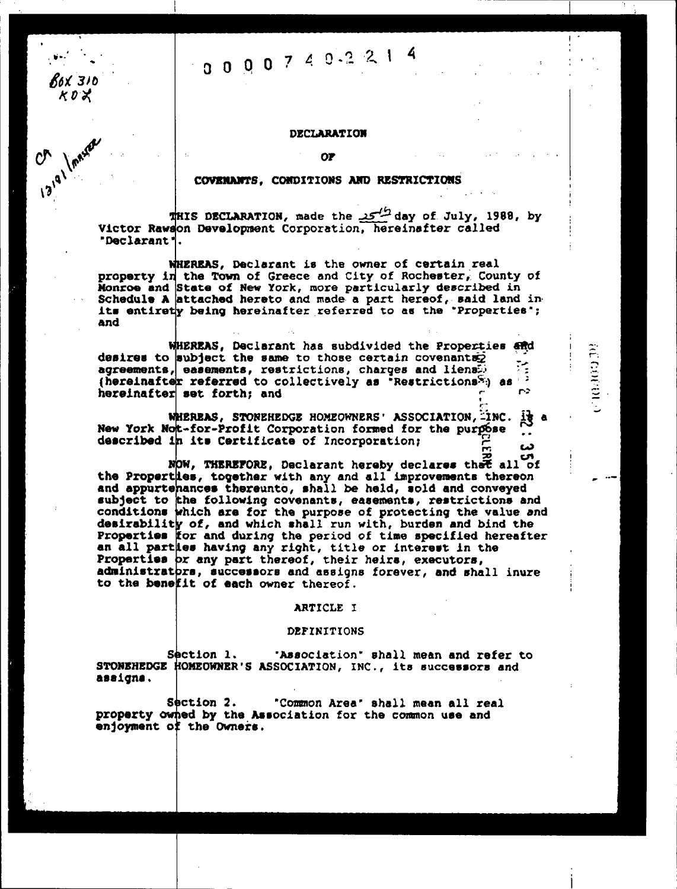# 0000749221

R6X 310 とのメ

13191

#### **DECLARATION**

#### COVENANTS, CONDITIONS AND RESTRICTIONS

day of July, 1988, by day of July, 1988, by Victor Rawson Development Corporation, hereinafter called "Declarant".

WHEREAS, Declarant is the owner of certain real property in the Town of Greece and City of Rochester, County of Monroe and State of New York, more particularly described in Schedule A attached hereto and made a part hereof, said land in its entirety being hereinafter referred to as the "Properties"; and

WHEREAS, Declarant has subdivided the Properties and desires to subject the same to those certain covenants $\bar{z}$ مە agreements, easements, restrictions, charges and liens. (hereinafter referred to collectively as "Restrictions") as 2 m> hereinafter set forth; and

**Reference** 

WHEREAS, STONEHEDGE HOMEOWNERS' ASSOCIATION, INC. IS a New York Not-for-Profit Corporation formed for the purpose  $\bullet$   $\bullet$ described in its Certificate of Incorporation; دے

NOW, THEREFORE, Declarant hereby declares that all of the Properties, together with any and all improvements thereon and appurtehances thereunto, shall be held, sold and conveyed subject to the following covenants, easements, restrictions and conditions which are for the purpose of protecting the value and desirability of, and which shall run with, burden and bind the Properties for and during the period of time specified hereafter an all parties having any right, title or interest in the Properties or any part thereof, their heirs, executors, administrators, successors and assigns forever, and shall inure to the benefit of each owner thereof.

#### ARTICLE I

#### DEFINITIONS

Section 1. "Association" shall mean and refer to STONEREDGE HOMEOWNER'S ASSOCIATION, INC., its successors and assigns.

Section 2. "Common Area" shall mean all real property owned by the Association for the common use and enjoyment of the Owners.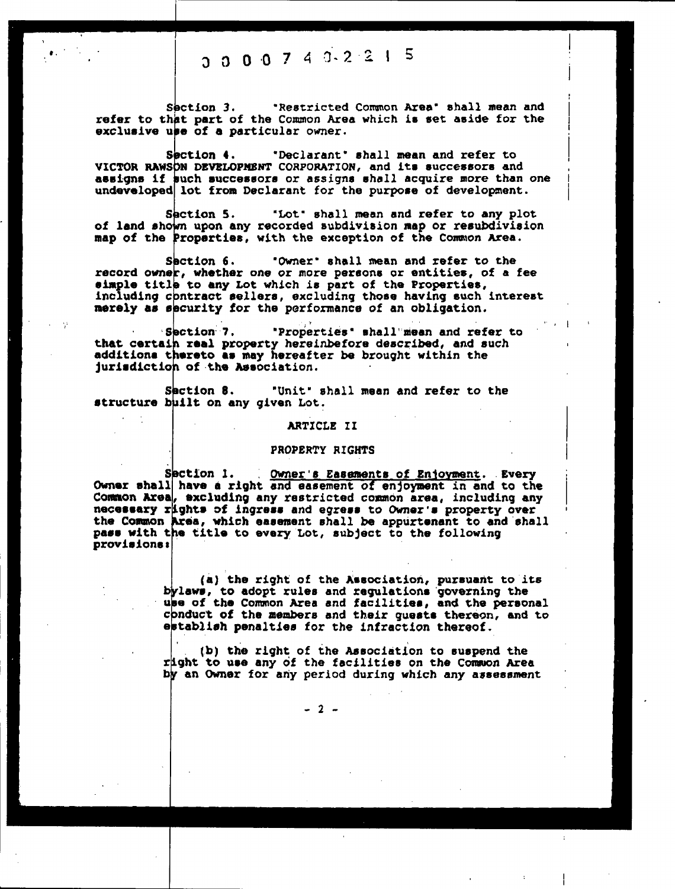## $3$  0 0 0 7 4  $3$  2 2 1 5

Section 3. Testricted Common Area' shall mean and refer to that part of the Common Area which is set aside for the exclusive use of a particular owner.

Section 4. "Declarant' shall mean and refer to VICTOR RAWSON DEVELOPMENT CORPORATION, and its successors and assigns if such successors or assigns shall acquire more than one undeveloped lot from Declarant for the purpose of development

I.

I I

Section 5. "Lot' shall mean and refer to any plot of land shown upon any recorded subdivision map or resubdivision map of the Properties, with the exception of the Common Area.

Section 6 Owner' shall mean and refer to the record owner, whether one or more persons or entities, of a fee simple title to any Lot which is part of the Properties, including contract sellers, excluding those having such interest merely as security for the performance of an obligation.

Saction 7. Troperties' shall mean and refer to<br>that certain real property hereinbefore described, and such additions thereto as may hereafter be brought within the jurisdiction of the Association.

Section 8. "Unit" shall mean and refer to the structure built on any given Lot.

#### ARTICLE II

#### PROPERTY RIGHTS

Section 1. Owner's Easements of Enjoyment. Every Owner shall have a right and easement of enjoyment in and to the Common Area, excluding any restricted common area, including any necessary rights of ingress and egress to Owner's property over the Common Area, which easement shall be appurtenant to and shall pass with the title to every Lot, subject to the following provislone a

> (a) the right of the Association, pursuant to its bylaws, to adopt rules and regulations 'governing the upe of the Common Area and facilities, and the personal conduct of the members and their guests thereon, and to<br>establish penalties for the infraction thereof.

lb) the right of the Association to suspend the right to use any of the facilities on the Common Area by an Owner for any period during which any assessment

 $-2 -$ 

)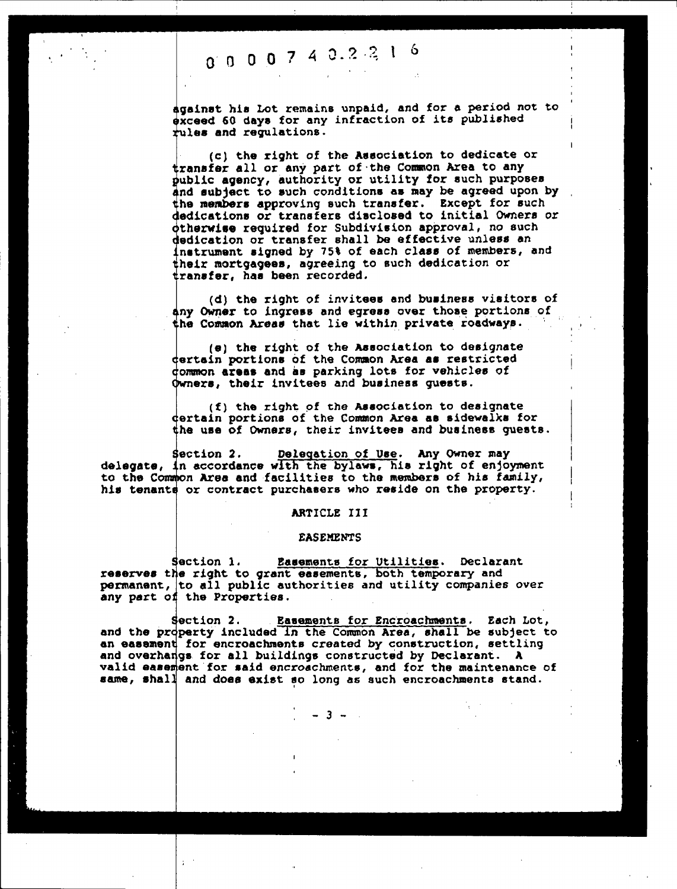# 0 0 0 0 7 4 0 2 2 1 6

against his Lot remains unpaid, and for a period not to exceed 60 days for any infraction of its published  $t$ ules and regulations.

(c) the right of the Association to dedicate or transfer all or any part of the Common Area to any public agency, authority or utility for such purposes and subject to such conditions as may be agreed upon by the members approving such transfer. Except for such dedications or transfers disclosed to initial Owners or otherwise required for subdivision approval, no such dedication or transfer shall be effective unless an instrument signed by 75% of each class of members, and their mortgagees, agreeing to such dedication or transfer, has been recorded

1 I

(d) the right of invitees and business visitors of any Owner to ingress and egress over those portions of the Common Areas that lie within private roadways.

(e) the right of the Association to designate certain portions Of the Common Area as restricted dommon areas and as parking lots for vehicles of Qwners, their invitees and business guests.

 $(f)$  the right of the Association to designate dertain portions of the Common Area as sidewalks for the use of Owners, their invitees and business guests.

section 2. Delegation of Use. Any Owner may<br>delegate, in accordance with the bylaws, his right of enjoyment to the Common Area and facilities to the members of his family, his tenante or contract purchasers who reside on the property.

#### ARTICLE III

#### **EASEMENTS**

Section 1. Easements for Utilities. Declarant reserves the right to grant easements, both temporary and permanent, to all public authorities and utility companies over any part of the Properties.

Section 2. Basements for Encroachments. Each Lot,<br>and the property included in the Common Area, shall be subject to an easement for encroachments created by construction, settling and overhangs. for all buildings constructed by Declarant. A valid easement for said encroachments. and for the maintenance of same, shall and does exist so long as such encroachments stand.

 $-3 -$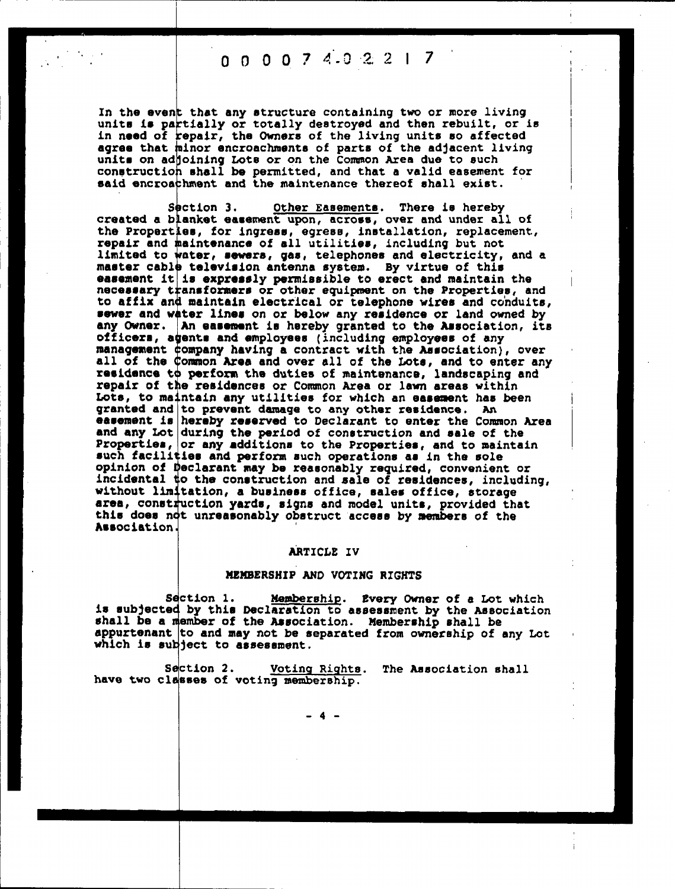$0$   $0$   $0$   $7$   $4.0$   $2$   $2$   $1$   $7$ 

In the event that any structure containing two or more living units is partially or totally destroyed and then rebuilt, or is<br>in need of repair, the Owners of the living units so affected agree that minor encroachments of parts of the adjacent living<br>units on adjoining Lots or on the Common Area due to such<br>construction shall be permitted, and that a valid easement for<br>said encroachment and the maintenance

Other Easements. There is hereby Section 3. created a blanket easement upon, across, over and under all of the Properties, for ingress, egress, installation, replacement, repair and maintenance of all utilities, including but not limited to water, sewers, gas, telephones and electricity, and a master cable television antenna system. By virtue of this easement it is expressly permissible to erect and maintain the necessary transformers or other equipment on the Properties, and to affix and maintain electrical or telephone wires and conduits, sewer and water lines on or below any residence or land owned by any Owner. An easement is hereby granted to the Association, its officers, agents and employees (including employees of any management company having a contract with the Association), over<br>all of the Common Area and over all of the Lots, and to enter any residence to perform the duties of maintenance, landscaping and repair of the residences or Common Area or lawn areas within Lots, to maintain any utilities for which an easement has been granted and to prevent damage to any other residence. An<br>easement is hereby reserved to Declarant to enter the Common Area<br>and any Lot during the period of construction and sale of the<br>Properties, and to maintain<br>making th such facilities and perform such operations as in the sole opinion of Declarant may be reasonably required, convenient or incidental to the construction and sale of residences, including, without limitation, a business office, sales office, storage area, construction yards, signs and model units, provided that this does not unreasonably obstruct access by members of the Association.

#### ARTICLE IV

#### MEMBERSHIP AND VOTING RIGHTS

Section 1. Membership. Every Owner of a Lot which is subjected by this Declaration to assessment by the Association shall be a member of the Association. Membership shall be appurtenant to and may not be separated from ownership of any Lot which is subject to assessment.

Section 2. Voting Rights. The Association shall have two classes of voting membership.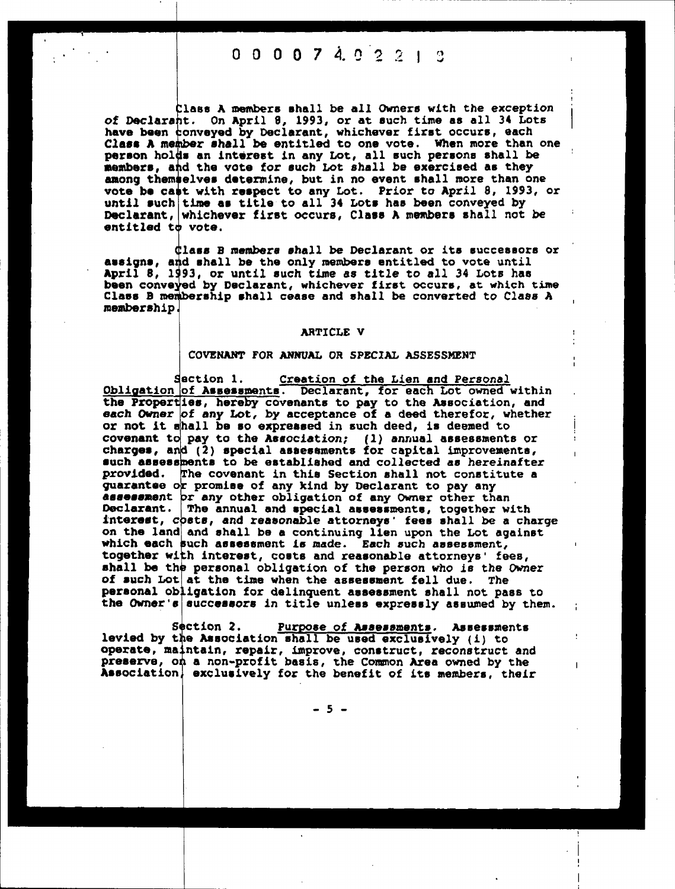0 0 0 0 7 4. 0

lass A members shall be all Owners with the exception of Doclarant. On April 8, 1993, or at such time as all 34 Lots have been conveyed by Declarant, whichever first occurs, each Class A member shall be entitled to one vote. When more than one person holds an interest in any Loc, all such persons shall he members, and the vote for such Lot shall be exercised as they among themselves determine, but in no event shall more than one vote be cast with respect to any until such time as Declarant. whichever first occurs. Class A members shall not be entitled  $t\phi$  vote. Lot. Prior to April 8, 1993, or title to all 34 Lots has been conveyed by

Class B members shall be Declarant or its successors or<br>assigns, and shall be the only members entitled to vote until April 8, 1993, or until such time as title to all 34 Lots has been conveyed by Declarant, whichever first occurs, at which time Class B membership shall cease and shall be converted to Class A membership

#### ARTICLE v

#### COVENANT FOR ANNUAL OR SPECIAL ASSESSMENT

Section 1. Creation of the Lien and Personal Obligation of Assessments. Declarant, for each Lot owned within the Properties, hereby covenants to pay to the Association, and each Owner of any Lot, by acceptance of a deed therefor, whether or not it shall be so expressed in such deed, is deemed to covenant to pay to the Association; (1) annual assessments or charges, and (2) special assessments tor capital improvements such assessments to be established and collected as hereinafter provided. The covenant in this Section shall not constitute a guarantee or promise of any kind by Declarant to pay any assessment pr any other obligation of any Owner other than Declarant. The annual and special assessments, together with interest, costs, and reasonable attorneys ' fees shall be a charge on the land and shall be a continuing lien upon the Lot against which each such assessment is made. Each such assessment, together with interest, costs and reasonable attorneys' fees, shall be the personal obligation of the person who is the Owner of such Lot at the time when the assessment fell due. The personal obligation for delinquent assessment shall not pass to the Owner's successors in title unless expressly assumed by them.

Section 2. Purpose of Assessments. Assessments levied by the Association shall be used exclusively (i) to operate, maintain, repair, improve, construct, reconstruct and preserve, on a non-profit basis, the Common Area owned by the Association, exclusively for the benefit of its members, their

 $-5 -$ 

. I I.

 $\mathbf{I}$ 

: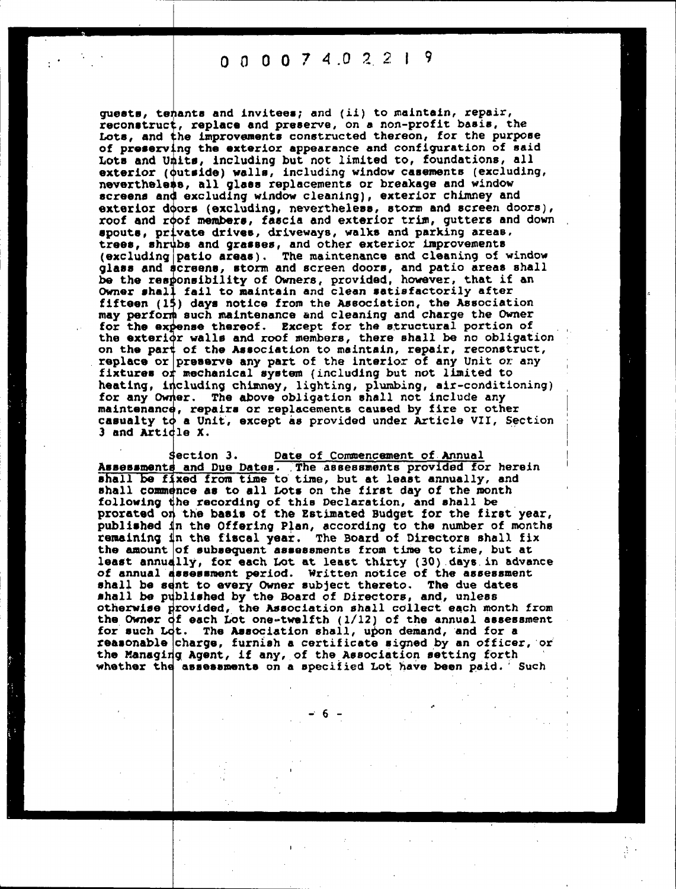0 0 0 0 7 4 0 2 2 1 9

exterior doors (excluding, nevertheless, storm and screen doors) roof and roof members, fascia and exterior trim, gutters and down guests, tehants and invitees; and (ii) to maintain, repair, reconstruct, replace and preserve, on a non-profit basis, the Lots, and the improvements constructed thereon, for the purpose of preserving the exterior appearance and configuration of said Lots and Units, including but not limited to, foundations, all exterior (outside) walls, including window casements (excluding, nevertheless, all glass replacements or breakage and window screens and excluding window cleaning) , exterior chimney and spouts, private drives, driveways, walks and parking areas. trees, shrubs and grasses, and other exterior improvements (excluding patio areas) . The maintenance and cleaning of window glass and acreens, storm and screen doors, and patio areas shall be the responsibility of Owners, provided, however, that if an Owner shall fail to maintain and clean satisfactorily after fifteen (15) days notice from the Association, the Association may perform such maintenance and cleaning and charge the Owner for the expense thereof. Except for the structural portion of the exteri¢r walls and roof members, there shall be no obligation on the part of the Association to maintain, repair, reconstruct replace or preserve any part of the interior of any Unit or any fixtures or mechanical system (including but not limited to heating, including chimney, lighting, plumbing, air-conditioning) for any Owner. The above obligation shall not include any maintenance, repairs or replacements caused by fire or other casualty to a Unit, except as provided under Article VII, Section 3 and Article X.

r.

Section 3. Date of Commencement of Annual Assessments and Due Dates. The assessments provided for herein shall be fixed from time to time, but at least annually, and shall commence as to all Lots on the first day of the month following the recording of this Declaration, and shall be prorated on the basis of the Estimated Budget for the first year published in the Offering Plan, according to the number of months remainlnq in the fiscal year. The Board of Directors shall fix the amount of subsequent assessments from time to time, but at least annually, for each Lot at least thirty (30) days in advance of annual assessment period. written notice of the assessment shall be sent to every Owner subject thereto. The due dates shall be published by the Board of Directors, and, unless otherwise provlded,. the Association shall collect each month from the Owner of each Lot one-twelfth  $(1/12)$  of the annual assessment for such Lot. The Association shall, upon demand, 'and for a reasonable charge, furnish a certificate signed by an officer, or the Managing Agent, if any, of the Association setting forth whether the assessments on a specified Lot have been paid. Such

 $-6 -$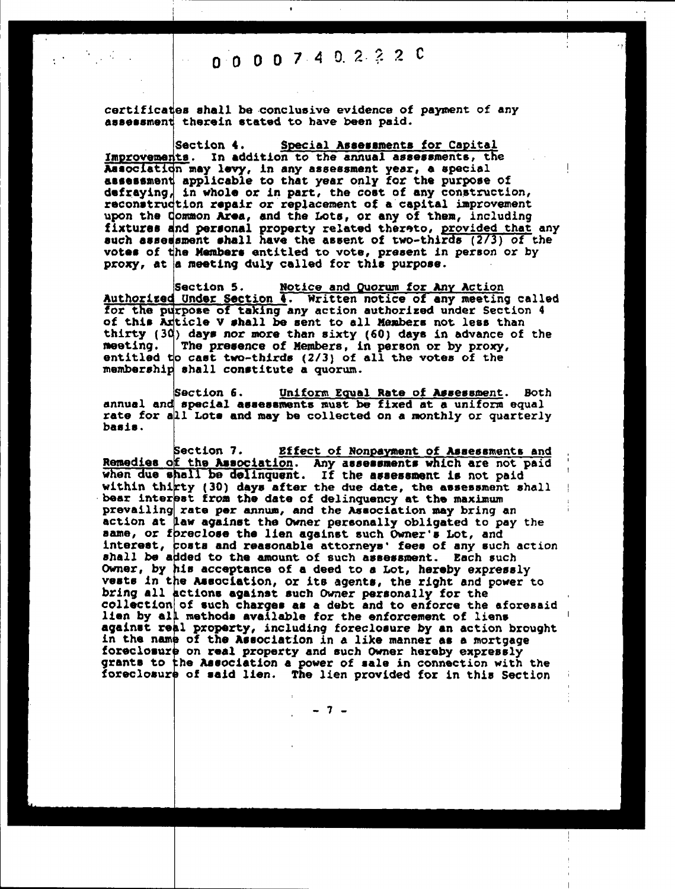**I** I is a set of the set of the set of the set of the set of the set of the set of the set of the set of the set

certificates shall be conclusive evidence of payment of any assessment therein stated to have been paid.

Section 4 Improvements. In addition to the annual assessments, the Aaaoclaticn may levy, in any assessment year, a special I assessment applicable to that year only for the purpose of defraying, in whole or in part, the cost of any construction, reconstruction repair or replacement of a capital improvement upon the Common Area, and the Lots, or any of them, including fixtures and personal property related thereto, provided that any such assessment shall have the assent of two-thirds (2/3) of the Special Assessments for Capital votes of the Members entitled to vote, present in person or by proxy, at a meeting duly called for this purpose.

Section 5. Notice and Quorum for Any Action Authorized Under Section 4. Written notice of any meeting called for the purpose of taking any action authorized under Section 4 of this Article V shall be sent to all Members not less than thirty (30) days nor more than sixty (60) days in advance of the meeting.  $|$  The presence of Members, in person or by proxy, entitled to cast two-thirds  $(2/3)$  of all the votes of the membership shall constitute a quorum

Section 6. Uniform Equal Rate of Assessment. Both annual and special assessments must be fixed at a uniform equal rate for all Lots and may be collected on a monthly or quarterly basis

Section 7. Effect of Nonpayment of Assessments and Remedies of the Association. Any assessments which are not paid when due shall be delinquent. If the assessment is not paid within thirty (30) days after the due date, the assessment shall bear interest from the date of delinquency at the maximum prevailing rate per annum, and the Association may bring an action at law against the Owner personally obligated to pay the same, or foreclose the lien against such Owner's Lot, and interest, costs and reasonable attorneys' fees of any such action shall be added to the amount of such assessment. Each such Owner, by his acceptance of a deed to a Lot, hereby expressly vests in the Association, or its agents, the right and power to bring all actions against such Owner personally for the collection of such charges as a debt and to enforce the aforesaid lien by all methods available for the enforcement of liens against real property, including foreclosure by an action brought in the name of the Association in a like manner as a mortgage foreclosure on real property and such Owner hereby expressly grants to the Association a power of sale in connection with the foreclosure of said lien. The lien provided for in this Section

- 7 -

!I I I I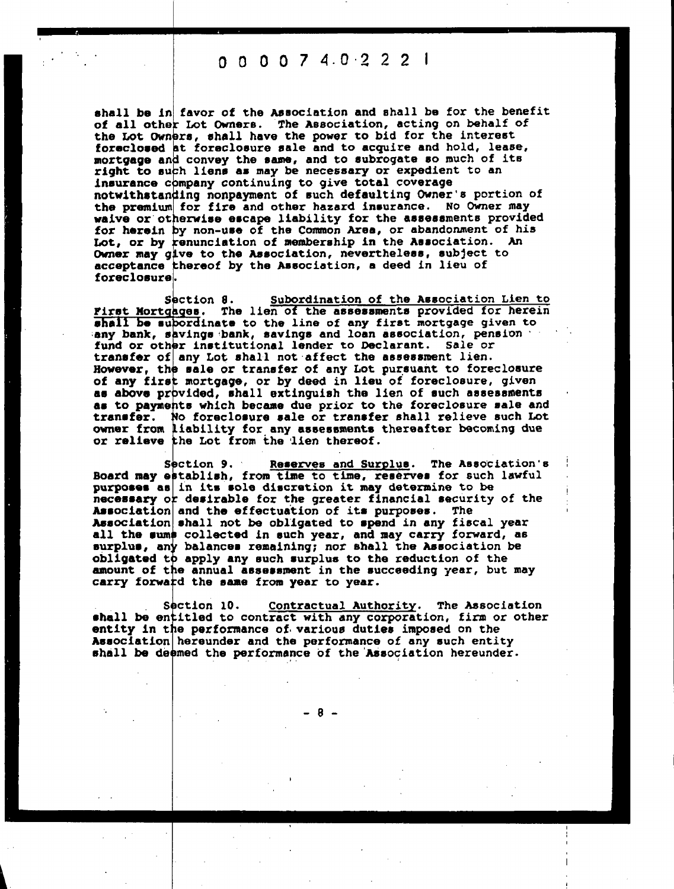000074.0-222 <sup>I</sup>

shall be in favor of the Association and shall be for the benefit of all other Lot Owners. The Association, acting on behalf of the Lot Owners, shall have the power to bid for the interest foreclosed at foreclosure sale and to acquire and hold, lease mortgage and convey the same, and to subrogate so much of its right to such liens as may be necessary or expedient to an insurance company continuing to give total coverage notwithstanding nonpayment of such defaulting Owner's portion of the premium for fire and other hazard insurance. No Owner may waive or otherwise escape liability for the assessments provided for herein by non-use of the Common Area, or abandonment of his Lot, or by renunciation of membership in the Association. An Owner may give to the Association, nevertheless, subject to acceptance thereof by the Association, a deed in lieu of foreclosure

Section 8. Subordination of the Association Lien to First Mortgages. The lien of the assessments provided for herein shall be subordinate to the line of any first mortgage given to any bank, savings bank, savings and loan association, pension fund or other institutional lender to Declarant. sale or transfer of any Lot shall not affect the assessment lien. However, the sale or transfer of any Lot pursuant to foreclosure of any first mortgage, or by deed in lieu of foreclosure, given as above provided, shall extinguish the 11en of such assessments as to payments which became due prior to the foreclosure sale and transfer. No foreclosure sale or transfer shall relieve such Lot owner from liability for. any assessments thereafter becoming due or relieve the Lot from the lien thereof.

Section 9. Reserves and Surplus. The Association's Board may establish, from time to time, reserves for such lawful purposes as in its sole discretion it may determine to be necessary or desirable for the greater financial security of the Association and the effectuation of its purposes. The Association shall not be obligated to spend in any fiscal year all the sums collected in such year, and may carry forward, as surplus, any balances remaining; nor shall the Association be obligated to apply any such surplus to the reduction of the amount of the annual assessment in the succeeding year, but may carry forward the same from year to year.

Section 10. Contractual Authority. The Association . shall be entitled to contract with any corporation, firm or other entity in the performance of- various duties imposed on the Association hereunder and the performance of any such entity shall be deemed the performance of the Association hereunder.

 $-8 -$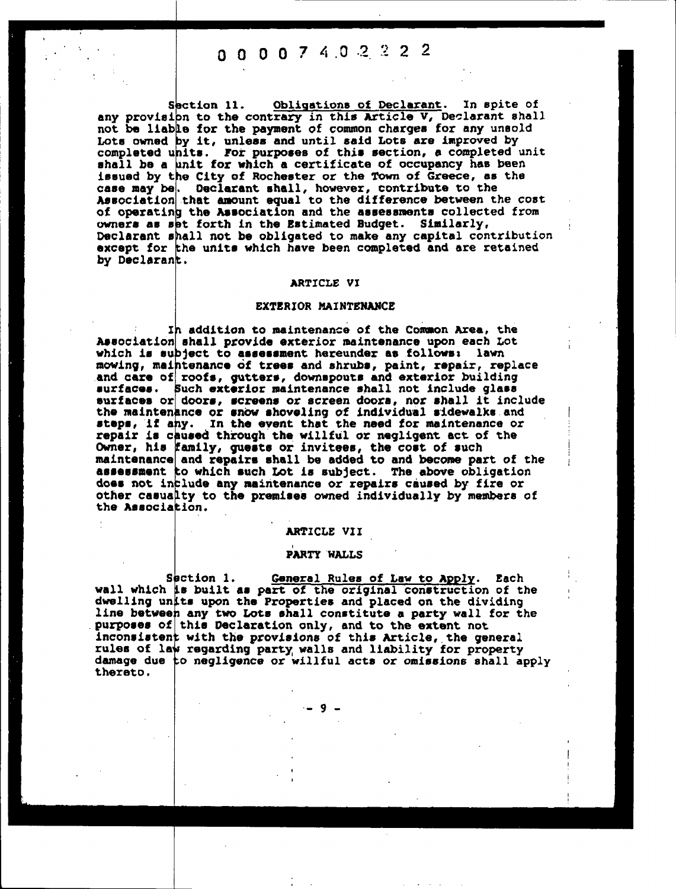### 0 0 0 0 7 4 0 2 2 2 2

Section 11. Obligations of Declarant. In spite of any provision to the contrary in this Article V, Declarant shall not be liable for the payment of common charges for any unsold Lots owned by it, unless and until said Lots are improved by completed units. tor purposes of this section, a completed unit shall be a unit for which a certificate of occupancy has been issued by the City of Rochester or the TOwn of Greece, as the case may be. Declarant shall, however, contribute to the Association that amount equal to the difference between the cost of operating the Association and the assessments collected from owners as set forth in the Estimated Budget. Similarly Declarant shall not be obligated to make any capital contribution except for the units which have been completed and are retained by Declarant.

#### ARTICLE VI

#### EXTERIOR MAINTENANCE

mowing, maintenance of trees and shrubs, paint, repair, replace and care of roofs, gutters, downspouts and exterior building Ih addition to maintenance of the Common Area, the Association shall provide exterior naintonance upon each Lot which is subject to assessment hereunder as follows: lawn surfaces. Such exterior maintenance shall not include glass surfaces or doors, screens or screen doors, nor shall it include the maintenance or snow shoveling of individual sldewalks.and steps, it any. In the event that the need for maintenance or repair is caused through the willful or negligent act of the Owner, his family, guests or invitees, the cost of such maintenance and repairs shall be added to and become part of the assessment to which such Lot is subject. The above obligation does not include any maintenance or repairs caused by fire or other casualty to the premises owned individually by members of the Association.

#### ARTICLE VII

#### PARTY WALLS

Section 1. General Rules of Law to Apply. Each wall which is built as part of the original construction of the dwelling units upon the Properties and placed on the dividing line between any two Lots shall constitute a party wall for the purposes of this Declaration only, and to the extent not inconsistent with the provisions of this Article, the general rules of law regarding party walls and liability for property damage due to negligence or willful acts or omissions shall apply thereto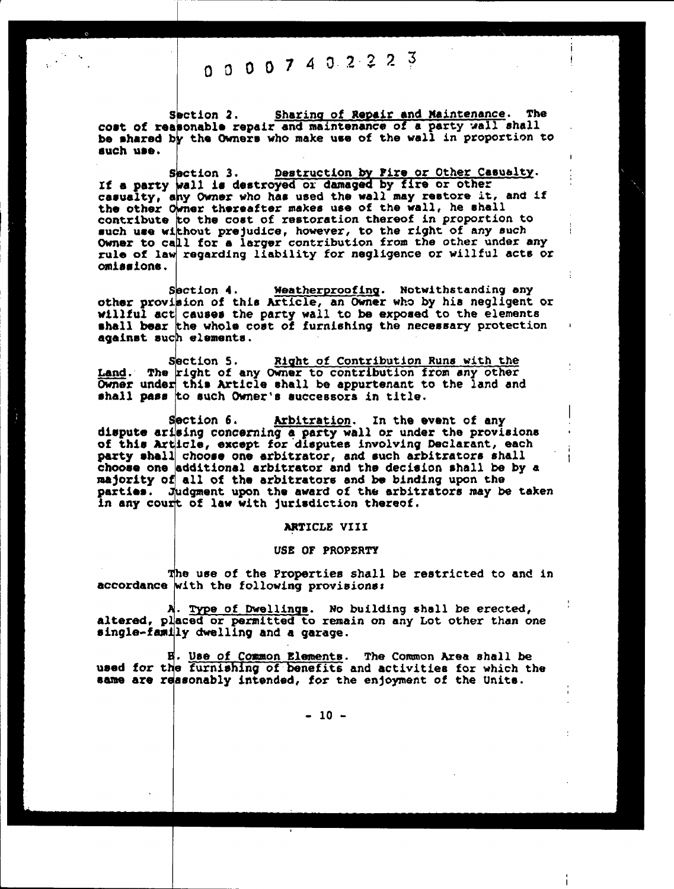# 00007402223

Section 2. Sharing of Repair and Maintenance. The cost of reasonable repair and maintenance of a party wall shall be shared by the Owners who make use of the wall in proportion to such use

Section 3. Destruction by Fire or Other Casualty. If a party wall is destroyed or damaged by fire or other casualty, any Owner who has used the wall may restore it, and if the other Owner thereafter makes use of the wall, he shall contribute to the cost of restoration thereof in proportion to such use without prejudice, however, to the right of any such Owner to call for a larger contribution from the other under any rule of law regarding liability for negligence or willful acts or omlaalons

Section 4. Weatherproofing. Notwithstanding any other provision of this Article, an Owner who by his negligent or other provision of this Article, an Owner who by his negligent or willful act causes the party wall to be exposed to the elements shall bear the whole cost of furnishing the necessary protection against such elements

Section 5. Right of Contribution Runs with the Land. The right of any Owner to contribution from any other Owner under this Article shall be appurtenant to the land and shall pass to such Owner's successors in title.

Section 6. Arbitration. In the event of any dispute arising concerning a party wall or under the provisions of this Article, except for disputes involving Declarant, each party shall chooss one arbitrator, and such arbitrators shall choose one edditional arbitrator and the decision shall be by a majority of all of the arbitrators and be binding upon the parties. Judgment upon the award of the arbitrators may be taken in any court of law with jurisdiction thereof.

#### ARTICLE VIII

#### use OF PROPERTY

The use of the Properties shall be restricted to and in accordance with the following provisions:

A. Type of Dwellings. No building shall be erected, altered, placed or permitted to remain on any Lot other than one single-family dwelling and a garage.

E. Use of Common Blements. The Common Area shall be used for the furnishing of benefits and activities for which the same are reasonably intended, for the enjoyment of the Units.

 $-10 -$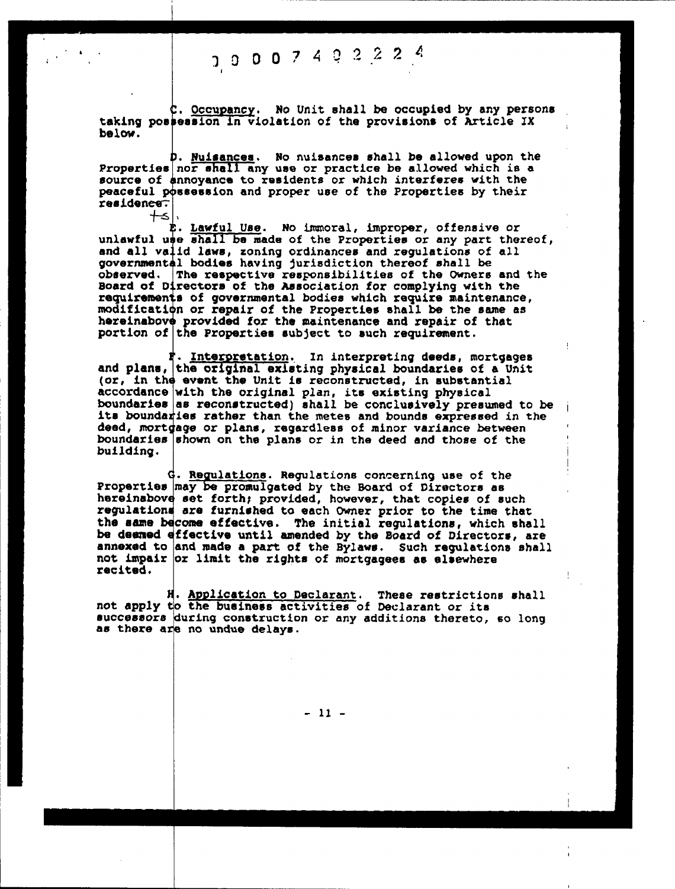## J 0 0 0 <sup>7</sup> <sup>4</sup> <sup>Q</sup> 2 2 2

i

c. Occupancy. No Unit shall be occupied by any persons taking possession in violation of the provisions of Article IX<br>below.

D. Nuisances. No nuisances shall be allowed upon the Properties nor shall any use or practice be allowed which is a source of annoyance to residents or which interferes with the peaceful possession and proper use of the Properties by their residen<del>ce.</del><br>,|><del>|</del>

n. Lawful Use. No immoral, improper, offensive or unlawful use shall be made of the Properties or any part thereof, and all valid laws, zoning ordinances and regulations of all<br>governmental bodies having jurisdiction thereof shall be<br>observed. The respective responsibilities of the Owners and the Board of Directors of the Association for complying with the requirements of governmental bodies which require maintenance modification or repair of the Properties shall be the same as hereinabove provided for the maintenance and repair of that portion of the Properties subject to such requirement.

r. Interpretation, In interpreting deeds, mortgages and plans, the original existing physical boundaries of a Unit (or, in the event the Unit is reconstructed, in substantial accordance with the original plan, its existing physical boundaries as reconstructed) shall be conclusively presumed to be its boundaries rather than the metes and bounds expressed in the deed, mortgage or plans, regardless of minor variance between boundaries shown on the plans or in the deed and those of the building

G. Regulations. Regulations concerning use of the Properties may be promulgated by the Board of Directors as hereinabove set forth; provided, however, that copies of such regulations are furnished to each Owner prior to the time that the same become effective. The initial regulations, which shall be damned effective until amended by the Board of Directors, are annexed to and made a part of the Bylaws. Such regulations shall not impair or limit the rights of mortgagees as elsewhere recited

H. Application to Declarant. These restrictions shall<br>not apply to the business activities of Declarant or its<br>successors during construction or any additions thereto, so long<br>as there are no undue delays.

 $-11 -$ 

I I

1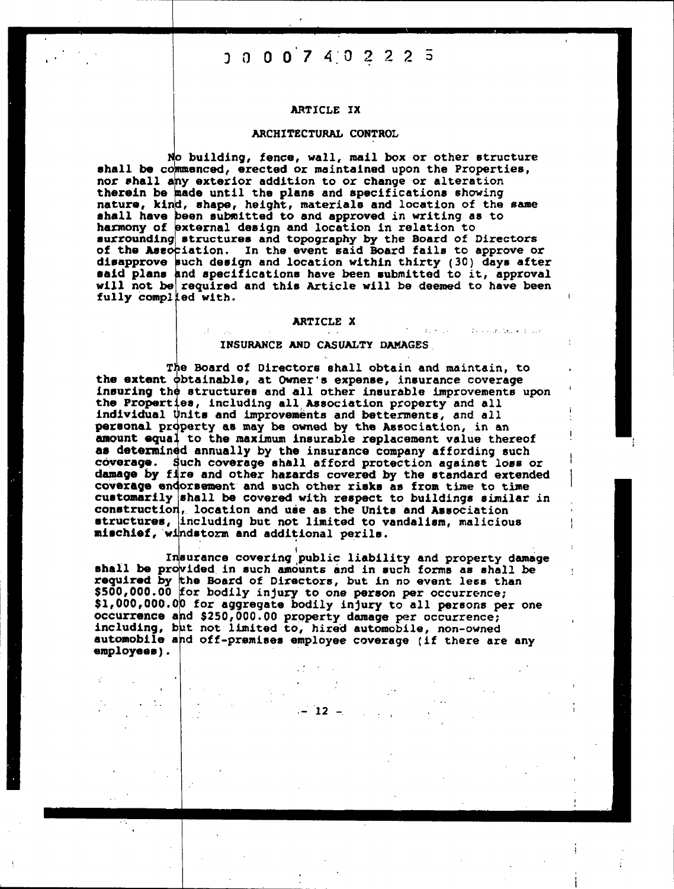## $0$  0 0 0 7 4 0 2 2 2 5

#### ARTICLE IX

#### ARCHITECTURAL CONTROL

No building, fence, wall, mail box or other structure shall be commenced, erected or maintained upon the Properties, nor shall any exterior addition to or change or alteration therein be made until the plans and specifications showing nature, kind, shape, height, materials and location of the same shall have been submitted to and approved in writing as to harmony of external design and location in relation to surrounding structures and topography by the Board of Directors of the Association. In the event said Board fails to approve or disapprove such design and location within thirty (30) days after<br>said plans and specifications have been submitted to it, approval<br>will not be required and this Article will be deemed to have been fully complied with.

#### ARTICLE X

 $\mathcal{P}_{\mathcal{A}}$  , we have  $\mathcal{P}_{\mathcal{A}}$ 

We can have a sub-

#### INSURANCE AND CASUALTY DAMAGES

The Board of Directors shall obtain and maintain, to the extent obtainable, at Owner's expense, insurance coverage insuring the structures and all other insurable improvements upon the Properties, including all Association property and all individual Units and improvements and betterments, and all personal property as may be owned by the Association, in an amount equal to the maximum insurable replacement value thereof as determined annually by the insurance company affording such coverage. Such coverage shall afford protection against loss or damage by fire and other hazards covered by the standard extended coverage endorsement and such other risks as from time to time customarily shall be covered with respect to buildings similar in construction, location and use as the Units and Association structures, including but not limited to vandalism, malicious mischief, windstorm and additional perils.

Insurance covering public liability and property damage shall be provided in such amounts and in such forms as shall be required by the Board of Directors, but in no event less than<br>\$500,000.00 for bodily injury to one person per occurrence; \$1,000,000.00 for aggregate bodily injury to all persons per one occurrence and \$250,000.00 property damage per occurrence;<br>including, but not limited to, hired automobile, non-owned automobile and off-premises employee coverage (if there are any employees).

 $-12$  -  $-$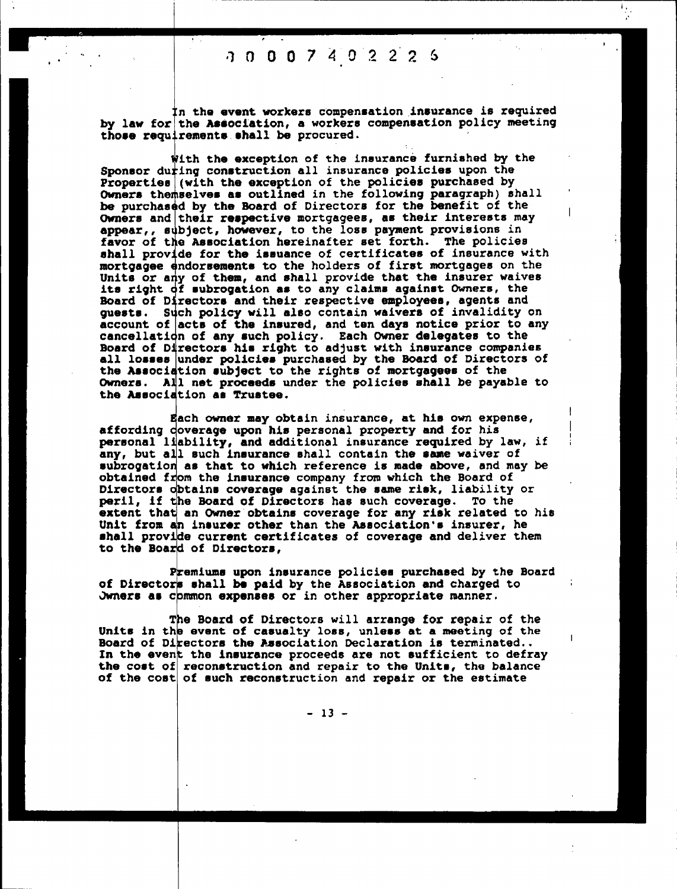### 1 0 0 0 7 4 0 2 2

 $\cdot$  . • I

in the event workers compensation insurance is required by law for the Association, a workers compensation policy meeting those requirements shall be procured.

with the exception of the insurance furnished by the Sponsor during construction all insurance policies upon the Properties (with the exception of the policies purchased by Owners themselves as outlined in the following paragraph) shall he purchased by the Board of Directors for the benefit of the Owners and their respective mortgagees, as their interests may appear,, subject, however, to the loss payment provisions in favor of the Asaociatlon hereinafter set forth. The policies shall provide for the issuance of certificates of insurance with mortgagee endorsements to the holders of first mortgages on the Units or any of them, and shall provide that the insurer waives its right  $\overrightarrow{d}$  subrogation as to any claims against Owners, the Board ot Directors and their respective employees, agents and guests. Such policy will also contain waivers of invalidity on account of acts of the insured, and ten days notice prior to any cancellation of any such policy. Each Owner delegates to the Board of Directors his right to adjust with insurance companies all losses under policies purchased by the Board of Directors of the Association subject to the rights of mortgagees of the Owners. All not proceeds under the policies shall he payable to the Association as Trustee

Each owner may obtain insurance, at his own expense affording doverage upon his personal property and for his personal liability, and additional insurance required by law, if any, but all such insurance shall contain the same waiver of subroqatlon as that to which reference is made above, and may be obtained from the insurance company from which the Board of Directors obtains coverage against the same risk, liability or peril, if the Board of Directors has such coverage. To the extent that an Owner obtains coverage for any risk related to his Unit from an insurer other than the Association°s insurer. he shall provide current certificates of coverage and deliver them to the Board of Directors

Premiums upon insurance policies purchased by the Board of Directors shall be paid by the Association and charged to Jwners as chamon expenses or in other appropriate manner.

The Board of Directors will arrange for repair of the<br>Units in the event of casualty loss, unless at a meeting of the<br>Board of Directors the Association Declaration is terminated..<br>In the event the insurance proceeds are n

 $-13 -$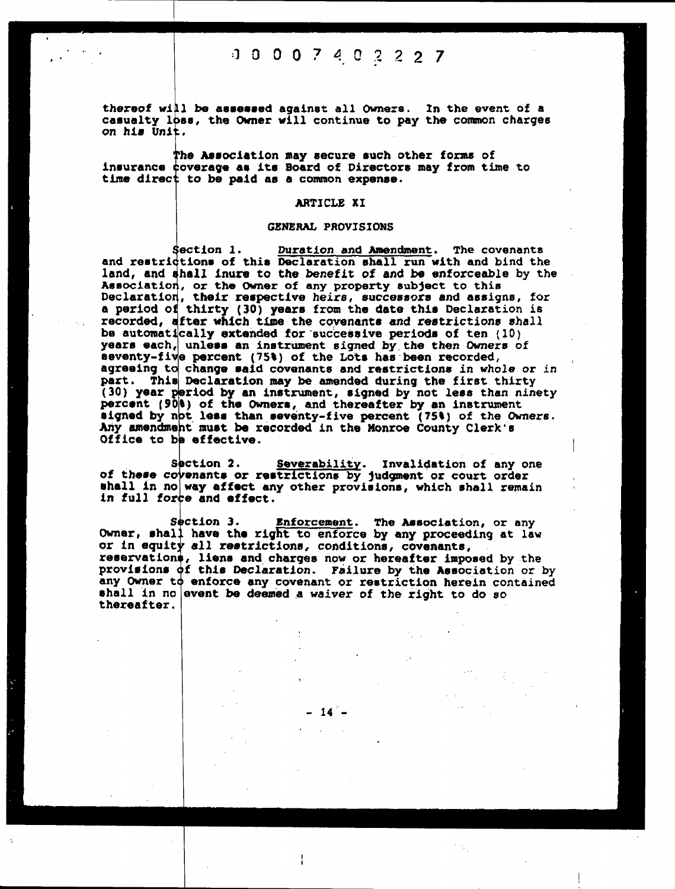### J 0 0 0 2 2 7

thereof will be assessed against all Owners. In the event of a casualty loss, the Owner will continue to pay the common charges on his Unit.

The Association may secure such other forms of insurance coverage as its Board of Directors may from time to time direct to be paid as a common expense.

#### ARTICLE xi

#### GENERAL PROVISIONS

Section 1. Duration and Amendment. The covenants and restrictions of this Declaration shall run with and bind the land, and shall inure to the benefit of and be enforceable by the Association, or the owner of any property subject to this Declaration, their respective heirs, successors and assigns, for a period of thirty (30) years from the date this Declaration is recorded. after which. time the covenants and restrictions shall be automatically extended tor successive periods of ten (10) years each, unless an instrument signed by the then Owners of seventy-five percent (75%) of the Lots has been recorded, agreeing to change said covenants and restrictions in whole or in part. This Declaration may be amended during the first thirty (30) year period by an instrument, signed by not less than ninety percent (90)) of the Owners, and thereafter by an instrument signed by not less than seventy-five percent  $(75\%)$  of the Owners. Any amendment must.be recorded in the Monroe County Clerk's Office to be effective.

Section 2. Severability. Invalidation of any one<br>of these covenants or restrictions by judgment or court order<br>shall in no way affect any other provisions, which shall remain<br>in full force and effect.

Section 3. Enforcement. The Association, or any Owner, shall have the right to enforce by any proceeding at law or in equity all restrictions, conditions, covenants reservations, liens and charges now or hereafter imposed by the provisions of this Declaration. Failure by the Association or by any Owner to enforce any covenant or restriction herein contained shall in no event be deemed a waiver of the right to do so thereafter

14

| 1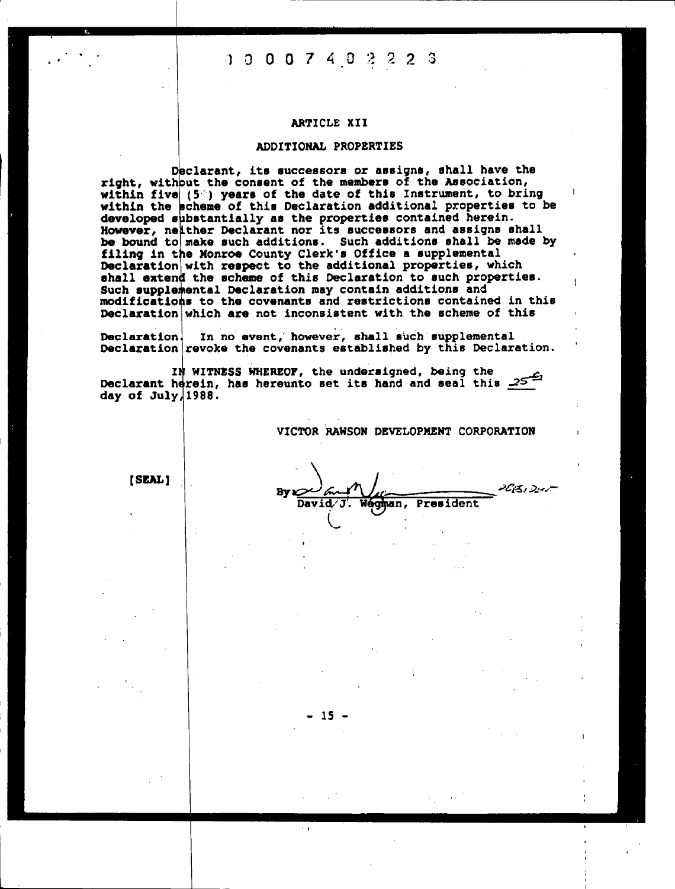### 1 0 0 0 7 4 0 2 2 2 3

#### ARTICLE XII

#### ADDITIONAL PROPERTIES

Declarant, its successors or assigns, shall have the right, without the consent of the members of the Association, within five  $(5^{\circ})$  years of the date of this Instrument, to bring within the scheme of this Declaration additional properties to be developed substantially as the properties contained herein. However, neither Declarant nor its successors and assigns shall be bound to make such additions. Such additions shall be made by filing in the Monroe County Clerk's office a supplemental Declaration with respect to the additional properties, which shall extend the scheme of this Declaration to such properties. Such supplemental Declaration may contain additions and modifications to the covenants and restrictions contained in this Declaration which are not inconsistent with the scheme of this

Declaration. In no event, however, shall such supplemental Declaration revoke the covenants established by this Declaration.

IN WITNESS WHEREOF, the undersigned, being the Declarant herein, has hereunto set its hand and seal this 25 day of  $July$ , 1988.

- 15 -

VICTOR RAWSON DEVELOPMENT CORPORATION

 $\mathbf{I}$ 

[SEAL]

I have a set of the set of the set of the set of the set of the set of the set of the set of the set

 $Byz (m+1)$ David/J. Wegman, President 2013, 2:45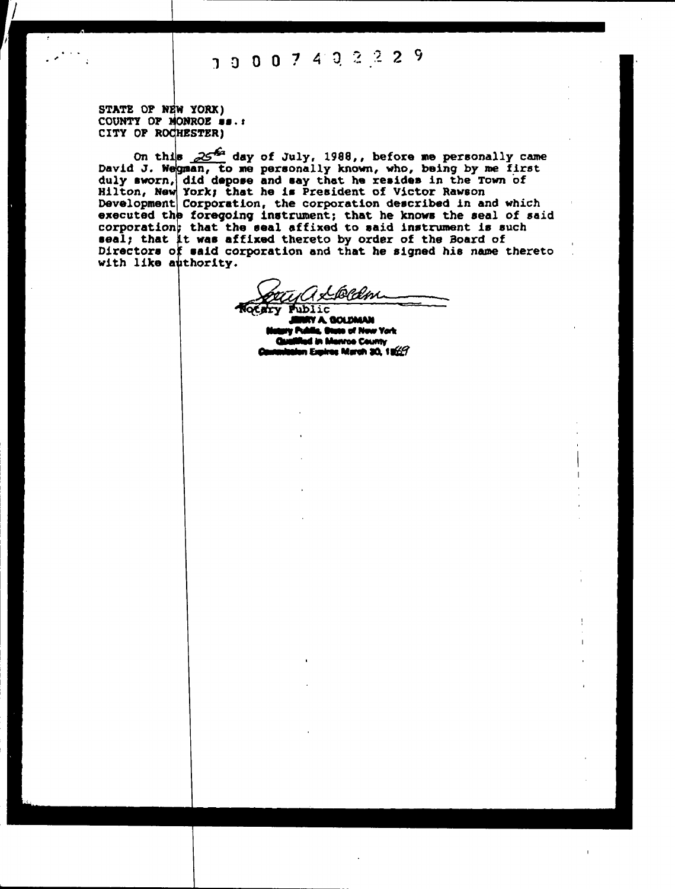STATE OF NEW YORK) COUNTY OF MONROE SS.: CITY OF ROCHESTER)

On this 25th day of July, 1988,, before me personally came David J. Wegman, to me personally known, who, being by me first duly sworn, did depose and say that he resides in the Town of Hilton, New York; that he is President of Victor Rawson Development Corporation, the corporation described in and which executed the foregoing instrument; that he knows the seal of said corporation; that the seal affixed to said instrument is such seal; that it was affixed thereto by order of the Board of Directors of said corporation and that he signed his name thereto with like authority.

PAM

hhlic Y A. GOLDMAN ia, On to of New York d in Manroe County n Expires March 30, 1969